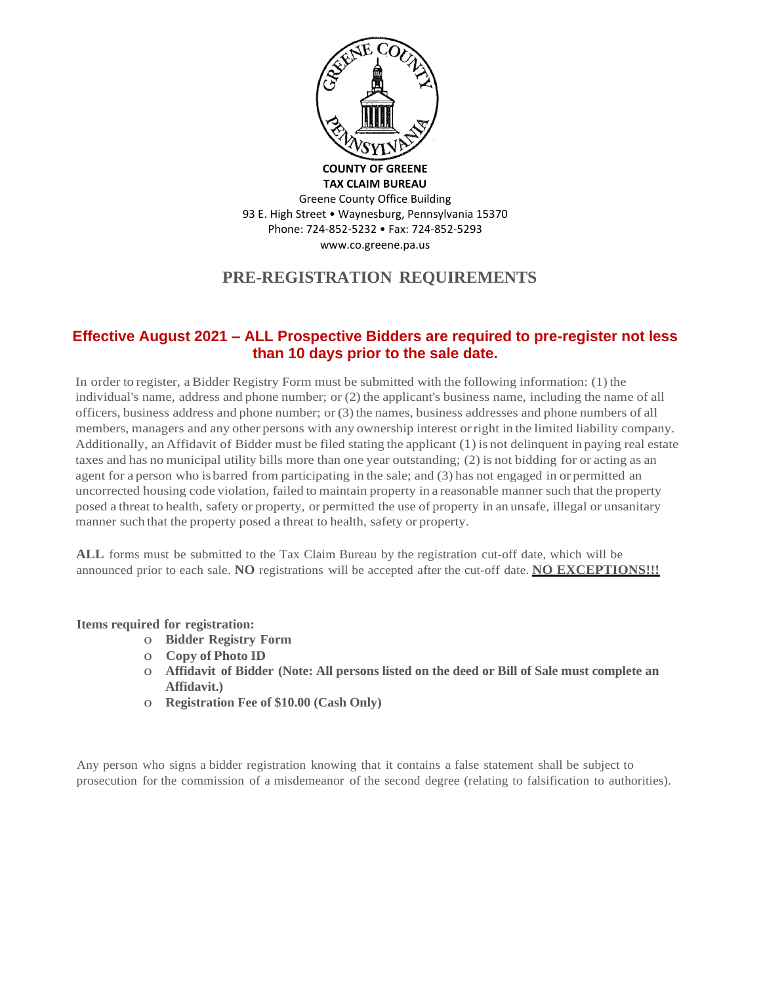

Greene County Office Building 93 E. High Street • Waynesburg, Pennsylvania 15370 Phone: 724-852-5232 • Fax: 724-852-5293 www.co.greene.pa.us

# **PRE-REGISTRATION REQUIREMENTS**

# **Effective August 2021 – ALL Prospective Bidders are required to pre-register not less than 10 days prior to the sale date.**

In order to register, a Bidder Registry Form must be submitted with the following information: (1) the individual's name, address and phone number; or (2) the applicant's business name, including the name of all officers, business address and phone number; or  $(3)$  the names, business addresses and phone numbers of all members, managers and any other persons with any ownership interest orright in the limited liability company. Additionally, an Affidavit of Bidder must be filed stating the applicant (1) is not delinquent in paying real estate taxes and has no municipal utility bills more than one year outstanding; (2) is not bidding for or acting as an agent for a person who is barred from participating in the sale; and (3) has not engaged in or permitted an uncorrected housing code violation, failed to maintain property in a reasonable manner such that the property posed a threat to health, safety or property, or permitted the use of property in an unsafe, illegal or unsanitary manner such that the property posed a threat to health, safety or property.

**ALL** forms must be submitted to the Tax Claim Bureau by the registration cut-off date, which will be announced prior to each sale. **NO** registrations will be accepted after the cut-off date. **NO EXCEPTIONS!!!**

#### **Items required for registration:**

- o **Bidder Registry Form**
- o **Copy of Photo ID**
- o **Affidavit of Bidder (Note: All persons listed on the deed or Bill of Sale must complete an Affidavit.)**
- o **Registration Fee of \$10.00 (Cash Only)**

Any person who signs a bidder registration knowing that it contains a false statement shall be subject to prosecution for the commission of a misdemeanor of the second degree (relating to falsification to authorities).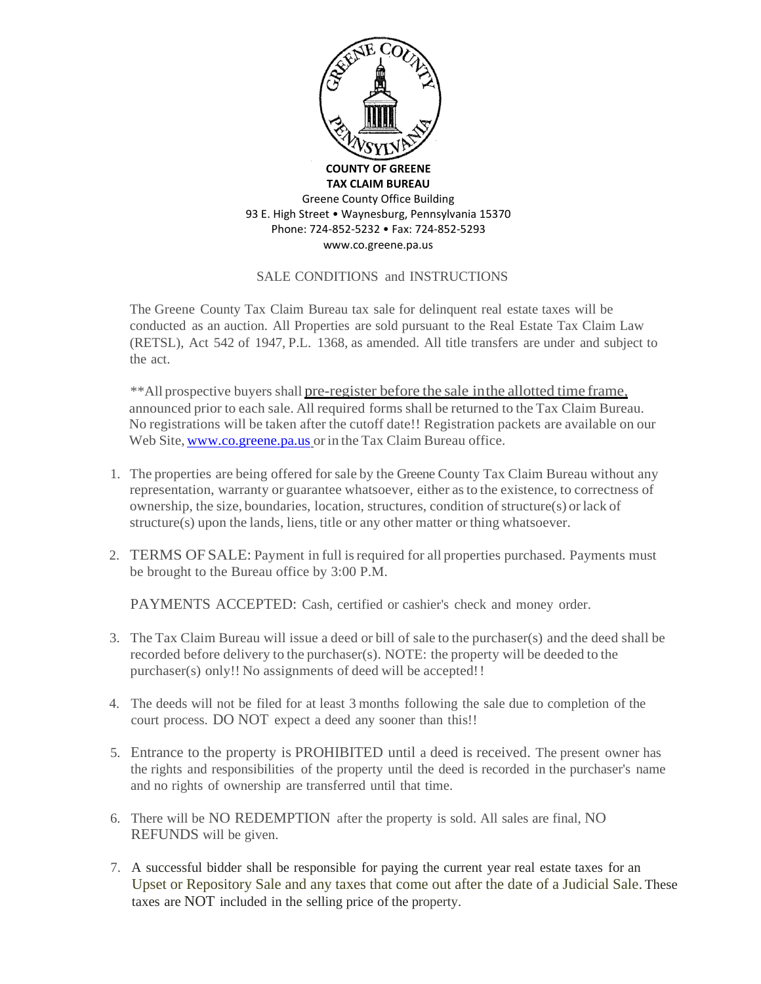

### SALE CONDITIONS and INSTRUCTIONS

The Greene County Tax Claim Bureau tax sale for delinquent real estate taxes will be conducted as an auction. All Properties are sold pursuant to the Real Estate Tax Claim Law (RETSL), Act 542 of 1947, P.L. 1368, as amended. All title transfers are under and subject to the act.

\*\*All prospective buyers shall pre-register before the sale inthe allotted time frame, announced prior to each sale. All required forms shall be returned to the Tax Claim Bureau. No registrations will be taken after the cutoff date!! Registration packets are available on our Web Site, [www.co.greene.pa.us](http://www.co.greene.pa.us/) or in the Tax Claim Bureau office.

- 1. The properties are being offered for sale by the Greene County Tax Claim Bureau without any representation, warranty or guarantee whatsoever, either asto the existence, to correctness of ownership, the size, boundaries, location, structures, condition of structure(s) or lack of structure(s) upon the lands, liens, title or any other matter or thing whatsoever.
- 2. TERMS OF SALE: Payment in full isrequired for all properties purchased. Payments must be brought to the Bureau office by 3:00 P.M.

PAYMENTS ACCEPTED: Cash, certified or cashier's check and money order.

- 3. The Tax Claim Bureau will issue a deed or bill of sale to the purchaser(s) and the deed shall be recorded before delivery to the purchaser(s). NOTE: the property will be deeded to the purchaser(s) only!! No assignments of deed will be accepted!!
- 4. The deeds will not be filed for at least 3 months following the sale due to completion of the court process. DO NOT expect a deed any sooner than this!!
- 5. Entrance to the property is PROHIBITED until a deed is received. The present owner has the rights and responsibilities of the property until the deed is recorded in the purchaser's name and no rights of ownership are transferred until that time.
- 6. There will be NO REDEMPTION after the property is sold. All sales are final, NO REFUNDS will be given.
- 7. A successful bidder shall be responsible for paying the current year real estate taxes for an Upset or Repository Sale and any taxes that come out after the date of a Judicial Sale. These taxes are NOT included in the selling price of the property.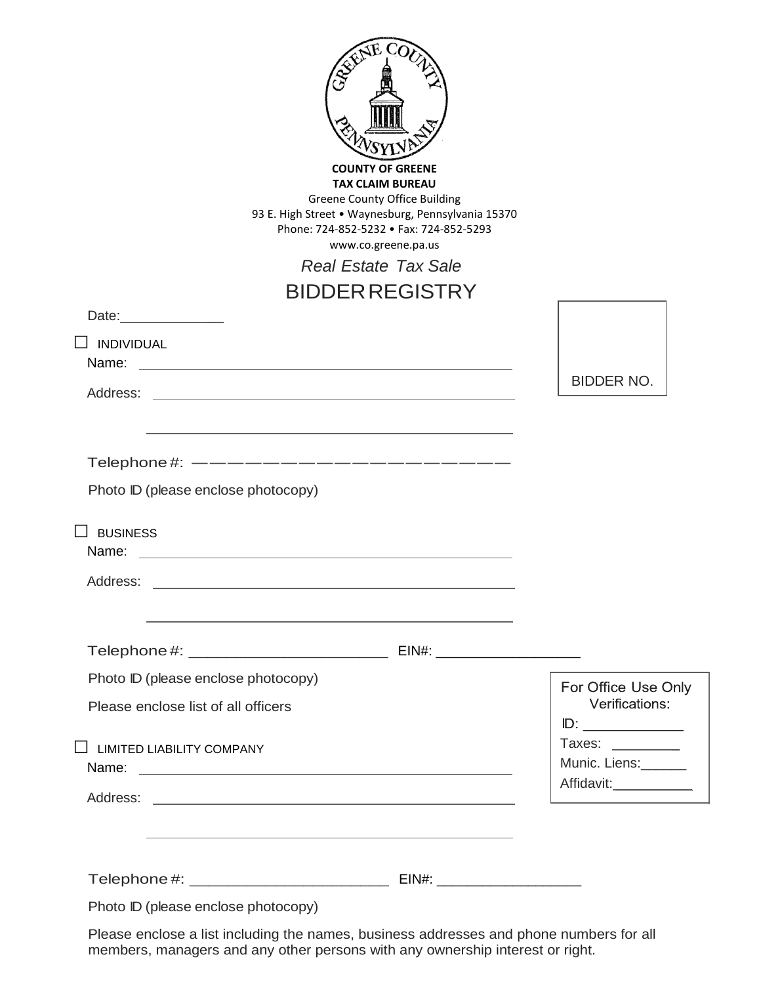| <b>COUNTY OF GREENE</b><br><b>TAX CLAIM BUREAU</b><br><b>Greene County Office Building</b><br>93 E. High Street . Waynesburg, Pennsylvania 15370<br>Phone: 724-852-5232 • Fax: 724-852-5293<br>www.co.greene.pa.us<br><b>Real Estate Tax Sale</b><br><b>BIDDER REGISTRY</b><br>Date: _____________<br>$\Box$ INDIVIDUAL<br>Name: | <b>BIDDER NO.</b>                                       |
|----------------------------------------------------------------------------------------------------------------------------------------------------------------------------------------------------------------------------------------------------------------------------------------------------------------------------------|---------------------------------------------------------|
| Address:<br><u> 1989 - Andrea State Barbara, Amerikaansk politiker († 1908)</u>                                                                                                                                                                                                                                                  |                                                         |
| Telephone #: ---------------------<br>Photo ID (please enclose photocopy)<br><b>BUSINESS</b><br>Name:<br>Address:                                                                                                                                                                                                                |                                                         |
| Photo ID (please enclose photocopy)                                                                                                                                                                                                                                                                                              |                                                         |
| Please enclose list of all officers                                                                                                                                                                                                                                                                                              | For Office Use Only<br>Verifications:                   |
| $\Box$ LIMITED LIABILITY COMPANY                                                                                                                                                                                                                                                                                                 | Taxes:<br>Munic. Liens:______<br>Affidavit:____________ |
| the control of the control of the control of the control of the control of the control of the control of the control of the control of the control of the control of the control of the control of the control of the control                                                                                                    |                                                         |
|                                                                                                                                                                                                                                                                                                                                  |                                                         |
| Photo ID (please enclose photocopy)                                                                                                                                                                                                                                                                                              |                                                         |

Please enclose a list including the names, business addresses and phone numbers for all members, managers and any other persons with any ownership interest or right.